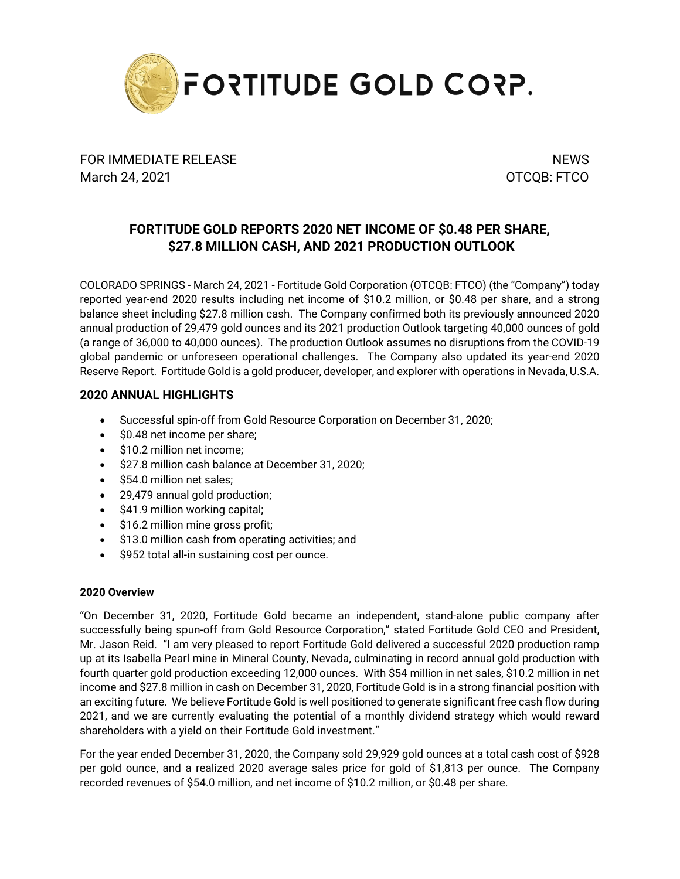

FOR IMMEDIATE RELEASE NEWS AND THE METALLICIAL CONTROL IN THE METALL CONTROL IN THE METALL CONTROL IN THE METALL CONTROL IN THE METALL CONTROL IN THE METALL CONTROL IN THE METALL CONTROL IN THE METALL CONTROL IN THE METALL March 24, 2021 **OTCQB: FTCO** 

# **FORTITUDE GOLD REPORTS 2020 NET INCOME OF \$0.48 PER SHARE, \$27.8 MILLION CASH, AND 2021 PRODUCTION OUTLOOK**

COLORADO SPRINGS - March 24, 2021 - Fortitude Gold Corporation (OTCQB: FTCO) (the "Company") today reported year-end 2020 results including net income of \$10.2 million, or \$0.48 per share, and a strong balance sheet including \$27.8 million cash. The Company confirmed both its previously announced 2020 annual production of 29,479 gold ounces and its 2021 production Outlook targeting 40,000 ounces of gold (a range of 36,000 to 40,000 ounces). The production Outlook assumes no disruptions from the COVID-19 global pandemic or unforeseen operational challenges. The Company also updated its year-end 2020 Reserve Report. Fortitude Gold is a gold producer, developer, and explorer with operations in Nevada, U.S.A.

# **2020 ANNUAL HIGHLIGHTS**

- Successful spin-off from Gold Resource Corporation on December 31, 2020;
- \$0.48 net income per share;
- \$10.2 million net income:
- \$27.8 million cash balance at December 31, 2020;
- \$54.0 million net sales;
- 29,479 annual gold production;
- \$41.9 million working capital;
- \$16.2 million mine gross profit;
- \$13.0 million cash from operating activities; and
- \$952 total all-in sustaining cost per ounce.

# **2020 Overview**

"On December 31, 2020, Fortitude Gold became an independent, stand-alone public company after successfully being spun-off from Gold Resource Corporation," stated Fortitude Gold CEO and President, Mr. Jason Reid. "I am very pleased to report Fortitude Gold delivered a successful 2020 production ramp up at its Isabella Pearl mine in Mineral County, Nevada, culminating in record annual gold production with fourth quarter gold production exceeding 12,000 ounces. With \$54 million in net sales, \$10.2 million in net income and \$27.8 million in cash on December 31, 2020, Fortitude Gold is in a strong financial position with an exciting future. We believe Fortitude Gold is well positioned to generate significant free cash flow during 2021, and we are currently evaluating the potential of a monthly dividend strategy which would reward shareholders with a yield on their Fortitude Gold investment."

For the year ended December 31, 2020, the Company sold 29,929 gold ounces at a total cash cost of \$928 per gold ounce, and a realized 2020 average sales price for gold of \$1,813 per ounce. The Company recorded revenues of \$54.0 million, and net income of \$10.2 million, or \$0.48 per share.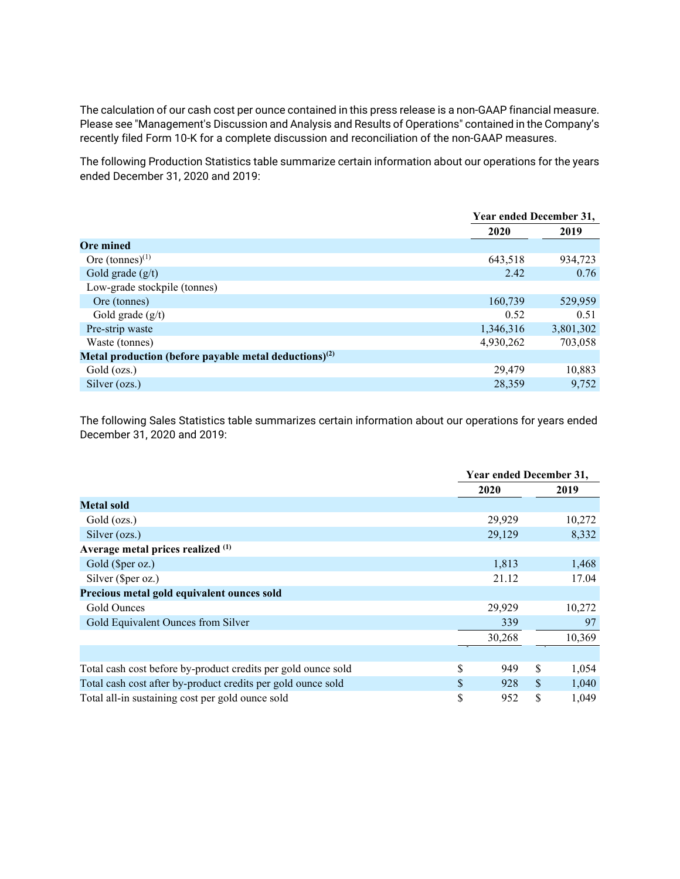The calculation of our cash cost per ounce contained in this press release is a non-GAAP financial measure. Please see "Management's Discussion and Analysis and Results of Operations" contained in the Company's recently filed Form 10-K for a complete discussion and reconciliation of the non-GAAP measures.

The following Production Statistics table summarize certain information about our operations for the years ended December 31, 2020 and 2019:

|                                                                   |           | Year ended December 31, |
|-------------------------------------------------------------------|-----------|-------------------------|
|                                                                   | 2020      | 2019                    |
| <b>Ore mined</b>                                                  |           |                         |
| Ore $(tonnes)^{(1)}$                                              | 643,518   | 934,723                 |
| Gold grade $(g/t)$                                                | 2.42      | 0.76                    |
| Low-grade stockpile (tonnes)                                      |           |                         |
| Ore (tonnes)                                                      | 160,739   | 529,959                 |
| Gold grade $(g/t)$                                                | 0.52      | 0.51                    |
| Pre-strip waste                                                   | 1,346,316 | 3,801,302               |
| Waste (tonnes)                                                    | 4,930,262 | 703,058                 |
| Metal production (before payable metal deductions) <sup>(2)</sup> |           |                         |
| Gold (ozs.)                                                       | 29,479    | 10,883                  |
| Silver (ozs.)                                                     | 28,359    | 9,752                   |

The following Sales Statistics table summarizes certain information about our operations for years ended December 31, 2020 and 2019:

|                                                               |               | Year ended December 31, |               |        |
|---------------------------------------------------------------|---------------|-------------------------|---------------|--------|
|                                                               |               | 2020                    |               | 2019   |
| Metal sold                                                    |               |                         |               |        |
| Gold (ozs.)                                                   |               | 29,929                  |               | 10,272 |
| Silver (ozs.)                                                 |               | 29,129                  |               | 8,332  |
| Average metal prices realized (1)                             |               |                         |               |        |
| Gold (\$per oz.)                                              |               | 1,813                   |               | 1,468  |
| Silver (\$per oz.)                                            |               | 21.12                   |               | 17.04  |
| Precious metal gold equivalent ounces sold                    |               |                         |               |        |
| Gold Ounces                                                   |               | 29,929                  |               | 10,272 |
| Gold Equivalent Ounces from Silver                            |               | 339                     |               | 97     |
|                                                               |               | 30,268                  |               | 10,369 |
|                                                               |               |                         |               |        |
| Total cash cost before by-product credits per gold ounce sold | \$            | 949                     | \$            | 1,054  |
| Total cash cost after by-product credits per gold ounce sold  | $\mathcal{S}$ | 928                     | <sup>\$</sup> | 1,040  |
| Total all-in sustaining cost per gold ounce sold              | \$            | 952                     | $\mathbb{S}$  | 1,049  |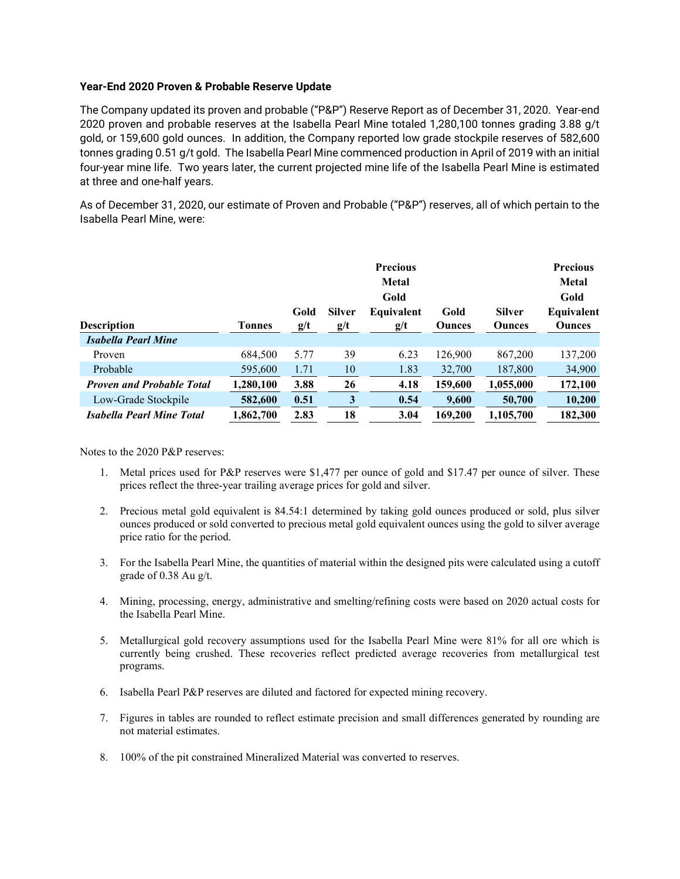### **Year-End 2020 Proven & Probable Reserve Update**

The Company updated its proven and probable ("P&P") Reserve Report as of December 31, 2020. Year-end 2020 proven and probable reserves at the Isabella Pearl Mine totaled 1,280,100 tonnes grading 3.88 g/t gold, or 159,600 gold ounces. In addition, the Company reported low grade stockpile reserves of 582,600 tonnes grading 0.51 g/t gold. The Isabella Pearl Mine commenced production in April of 2019 with an initial four-year mine life. Two years later, the current projected mine life of the Isabella Pearl Mine is estimated at three and one-half years.

As of December 31, 2020, our estimate of Proven and Probable ("P&P") reserves, all of which pertain to the Isabella Pearl Mine, were:

|                                  |               | Gold | <b>Silver</b> | <b>Precious</b><br><b>Metal</b><br>Gold<br>Equivalent | Gold          | <b>Silver</b> | <b>Precious</b><br>Metal<br>Gold<br>Equivalent |
|----------------------------------|---------------|------|---------------|-------------------------------------------------------|---------------|---------------|------------------------------------------------|
| <b>Description</b>               | <b>Tonnes</b> | g/t  | g/t           | g/t                                                   | <b>Ounces</b> | <b>Ounces</b> | <b>Ounces</b>                                  |
| Isabella Pearl Mine              |               |      |               |                                                       |               |               |                                                |
| Proven                           | 684,500       | 5.77 | 39            | 6.23                                                  | 126,900       | 867,200       | 137,200                                        |
| Probable                         | 595,600       | 1.71 | 10            | 1.83                                                  | 32,700        | 187,800       | 34,900                                         |
| <b>Proven and Probable Total</b> | 1,280,100     | 3.88 | 26            | 4.18                                                  | 159,600       | 1,055,000     | 172,100                                        |
| Low-Grade Stockpile              | 582,600       | 0.51 | 3             | 0.54                                                  | 9,600         | 50,700        | 10,200                                         |
| <b>Isabella Pearl Mine Total</b> | 1,862,700     | 2.83 | 18            | 3.04                                                  | 169,200       | 1,105,700     | 182,300                                        |

Notes to the 2020 P&P reserves:

- 1. Metal prices used for P&P reserves were \$1,477 per ounce of gold and \$17.47 per ounce of silver. These prices reflect the three-year trailing average prices for gold and silver.
- 2. Precious metal gold equivalent is 84.54:1 determined by taking gold ounces produced or sold, plus silver ounces produced or sold converted to precious metal gold equivalent ounces using the gold to silver average price ratio for the period.
- 3. For the Isabella Pearl Mine, the quantities of material within the designed pits were calculated using a cutoff grade of 0.38 Au g/t.
- 4. Mining, processing, energy, administrative and smelting/refining costs were based on 2020 actual costs for the Isabella Pearl Mine.
- 5. Metallurgical gold recovery assumptions used for the Isabella Pearl Mine were 81% for all ore which is currently being crushed. These recoveries reflect predicted average recoveries from metallurgical test programs.
- 6. Isabella Pearl P&P reserves are diluted and factored for expected mining recovery.
- 7. Figures in tables are rounded to reflect estimate precision and small differences generated by rounding are not material estimates.
- 8. 100% of the pit constrained Mineralized Material was converted to reserves.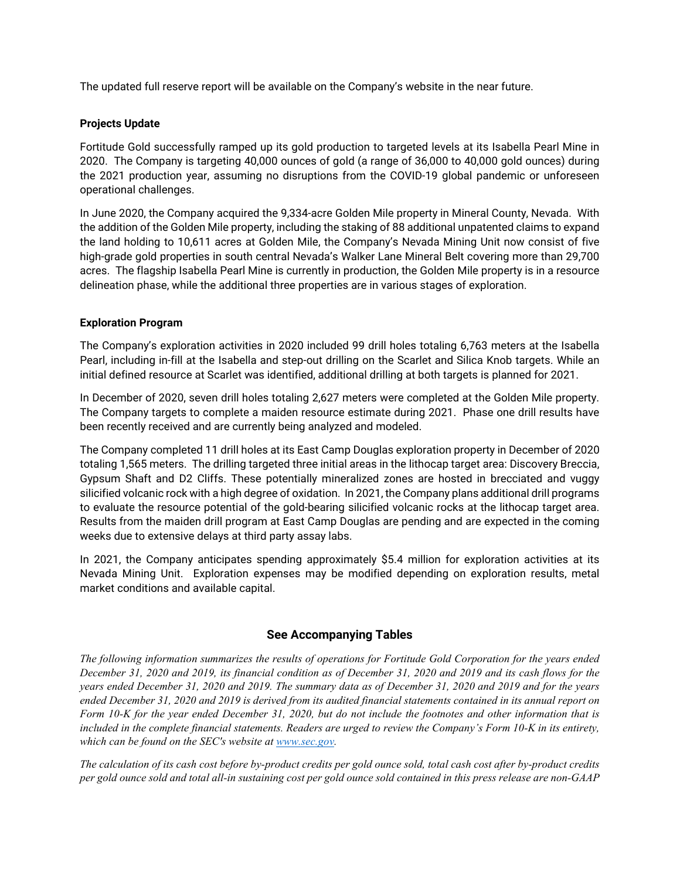The updated full reserve report will be available on the Company's website in the near future.

### **Projects Update**

Fortitude Gold successfully ramped up its gold production to targeted levels at its Isabella Pearl Mine in 2020. The Company is targeting 40,000 ounces of gold (a range of 36,000 to 40,000 gold ounces) during the 2021 production year, assuming no disruptions from the COVID-19 global pandemic or unforeseen operational challenges.

In June 2020, the Company acquired the 9,334-acre Golden Mile property in Mineral County, Nevada. With the addition of the Golden Mile property, including the staking of 88 additional unpatented claims to expand the land holding to 10,611 acres at Golden Mile, the Company's Nevada Mining Unit now consist of five high-grade gold properties in south central Nevada's Walker Lane Mineral Belt covering more than 29,700 acres. The flagship Isabella Pearl Mine is currently in production, the Golden Mile property is in a resource delineation phase, while the additional three properties are in various stages of exploration.

## **Exploration Program**

The Company's exploration activities in 2020 included 99 drill holes totaling 6,763 meters at the Isabella Pearl, including in-fill at the Isabella and step-out drilling on the Scarlet and Silica Knob targets. While an initial defined resource at Scarlet was identified, additional drilling at both targets is planned for 2021.

In December of 2020, seven drill holes totaling 2,627 meters were completed at the Golden Mile property. The Company targets to complete a maiden resource estimate during 2021. Phase one drill results have been recently received and are currently being analyzed and modeled.

The Company completed 11 drill holes at its East Camp Douglas exploration property in December of 2020 totaling 1,565 meters. The drilling targeted three initial areas in the lithocap target area: Discovery Breccia, Gypsum Shaft and D2 Cliffs. These potentially mineralized zones are hosted in brecciated and vuggy silicified volcanic rock with a high degree of oxidation. In 2021, the Company plans additional drill programs to evaluate the resource potential of the gold-bearing silicified volcanic rocks at the lithocap target area. Results from the maiden drill program at East Camp Douglas are pending and are expected in the coming weeks due to extensive delays at third party assay labs.

In 2021, the Company anticipates spending approximately \$5.4 million for exploration activities at its Nevada Mining Unit. Exploration expenses may be modified depending on exploration results, metal market conditions and available capital.

# **See Accompanying Tables**

*The following information summarizes the results of operations for Fortitude Gold Corporation for the years ended December 31, 2020 and 2019, its financial condition as of December 31, 2020 and 2019 and its cash flows for the years ended December 31, 2020 and 2019. The summary data as of December 31, 2020 and 2019 and for the years ended December 31, 2020 and 2019 is derived from its audited financial statements contained in its annual report on Form 10-K for the year ended December 31, 2020, but do not include the footnotes and other information that is included in the complete financial statements. Readers are urged to review the Company's Form 10-K in its entirety, which can be found on the SEC's website at [www.sec.gov.](http://www.sec.gov/)*

*The calculation of its cash cost before by-product credits per gold ounce sold, total cash cost after by-product credits per gold ounce sold and total all-in sustaining cost per gold ounce sold contained in this press release are non-GAAP*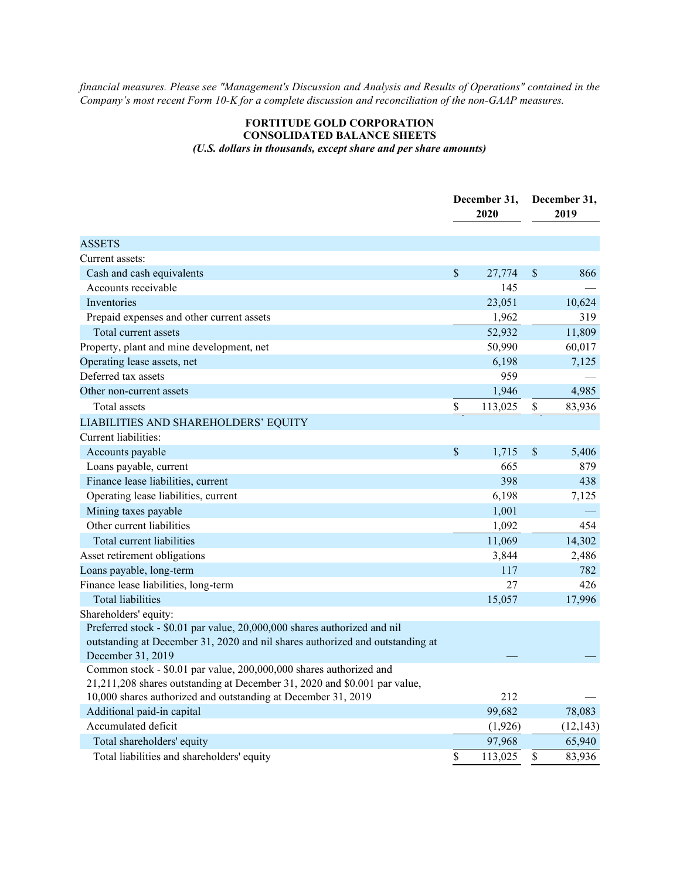*financial measures. Please see "Management's Discussion and Analysis and Results of Operations" contained in the Company's most recent Form 10-K for a complete discussion and reconciliation of the non-GAAP measures.*

## **FORTITUDE GOLD CORPORATION CONSOLIDATED BALANCE SHEETS** *(U.S. dollars in thousands, except share and per share amounts)*

|                                                                               | December 31,<br>2020 |    | December 31,<br>2019 |  |
|-------------------------------------------------------------------------------|----------------------|----|----------------------|--|
| <b>ASSETS</b>                                                                 |                      |    |                      |  |
| Current assets:                                                               |                      |    |                      |  |
| Cash and cash equivalents                                                     | \$<br>27,774         | \$ | 866                  |  |
| Accounts receivable                                                           | 145                  |    |                      |  |
| Inventories                                                                   | 23,051               |    | 10,624               |  |
| Prepaid expenses and other current assets                                     | 1,962                |    | 319                  |  |
| Total current assets                                                          | 52,932               |    | 11,809               |  |
| Property, plant and mine development, net                                     | 50,990               |    | 60,017               |  |
| Operating lease assets, net                                                   | 6,198                |    | 7,125                |  |
| Deferred tax assets                                                           | 959                  |    |                      |  |
| Other non-current assets                                                      | 1,946                |    | 4,985                |  |
| Total assets                                                                  | \$<br>113,025        | \$ | 83,936               |  |
| LIABILITIES AND SHAREHOLDERS' EQUITY                                          |                      |    |                      |  |
| Current liabilities:                                                          |                      |    |                      |  |
| Accounts payable                                                              | \$<br>1,715          | \$ | 5,406                |  |
| Loans payable, current                                                        | 665                  |    | 879                  |  |
| Finance lease liabilities, current                                            | 398                  |    | 438                  |  |
| Operating lease liabilities, current                                          | 6,198                |    | 7,125                |  |
| Mining taxes payable                                                          | 1,001                |    |                      |  |
| Other current liabilities                                                     | 1,092                |    | 454                  |  |
| Total current liabilities                                                     | 11,069               |    | 14,302               |  |
| Asset retirement obligations                                                  | 3,844                |    | 2,486                |  |
| Loans payable, long-term                                                      | 117                  |    | 782                  |  |
| Finance lease liabilities, long-term                                          | 27                   |    | 426                  |  |
| <b>Total liabilities</b>                                                      | 15,057               |    | 17,996               |  |
| Shareholders' equity:                                                         |                      |    |                      |  |
| Preferred stock - \$0.01 par value, 20,000,000 shares authorized and nil      |                      |    |                      |  |
| outstanding at December 31, 2020 and nil shares authorized and outstanding at |                      |    |                      |  |
| December 31, 2019                                                             |                      |    |                      |  |
| Common stock - \$0.01 par value, 200,000,000 shares authorized and            |                      |    |                      |  |
| 21,211,208 shares outstanding at December 31, 2020 and \$0.001 par value,     |                      |    |                      |  |
| 10,000 shares authorized and outstanding at December 31, 2019                 | 212                  |    |                      |  |
| Additional paid-in capital                                                    | 99,682               |    | 78,083               |  |
| Accumulated deficit                                                           | (1,926)              |    | (12, 143)            |  |
| Total shareholders' equity                                                    | 97,968               |    | 65,940               |  |
| Total liabilities and shareholders' equity                                    | \$<br>113,025        | \$ | 83,936               |  |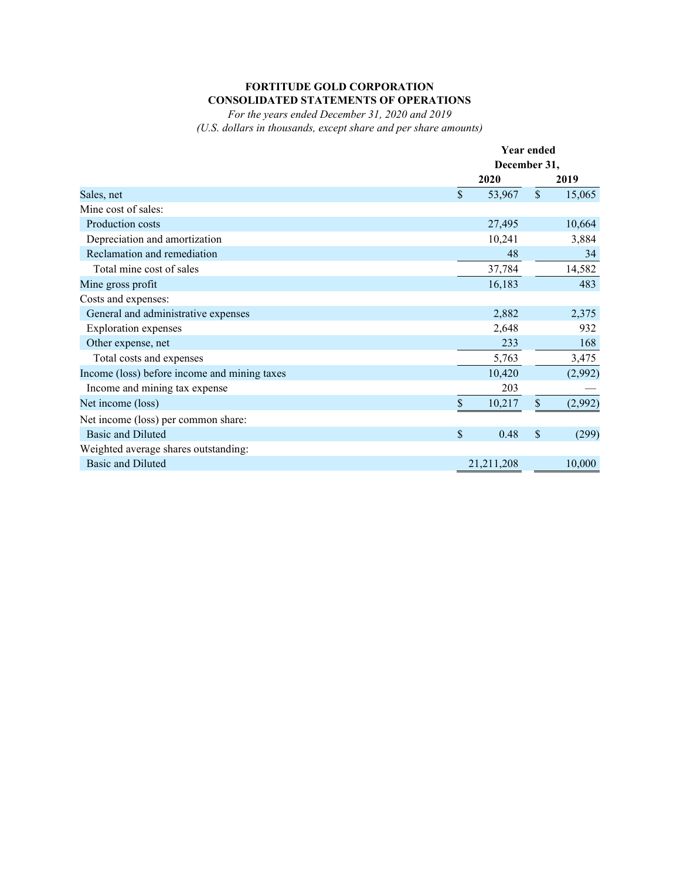# **FORTITUDE GOLD CORPORATION CONSOLIDATED STATEMENTS OF OPERATIONS**

*For the years ended December 31, 2020 and 2019 (U.S. dollars in thousands, except share and per share amounts)*

|                                              |              | <b>Year ended</b><br>December 31, |         |  |
|----------------------------------------------|--------------|-----------------------------------|---------|--|
|                                              |              |                                   |         |  |
|                                              | 2020         |                                   | 2019    |  |
| Sales, net                                   | \$<br>53,967 | $\mathbb{S}$                      | 15,065  |  |
| Mine cost of sales:                          |              |                                   |         |  |
| Production costs                             | 27,495       |                                   | 10,664  |  |
| Depreciation and amortization                | 10,241       |                                   | 3,884   |  |
| Reclamation and remediation                  | 48           |                                   | 34      |  |
| Total mine cost of sales                     | 37,784       |                                   | 14,582  |  |
| Mine gross profit                            | 16,183       |                                   | 483     |  |
| Costs and expenses:                          |              |                                   |         |  |
| General and administrative expenses          | 2,882        |                                   | 2,375   |  |
| <b>Exploration</b> expenses                  | 2,648        |                                   | 932     |  |
| Other expense, net                           | 233          |                                   | 168     |  |
| Total costs and expenses                     | 5,763        |                                   | 3,475   |  |
| Income (loss) before income and mining taxes | 10,420       |                                   | (2,992) |  |
| Income and mining tax expense                | 203          |                                   |         |  |
| Net income (loss)                            | \$<br>10,217 | $\$$                              | (2,992) |  |
| Net income (loss) per common share:          |              |                                   |         |  |
| <b>Basic and Diluted</b>                     | \$<br>0.48   | \$                                | (299)   |  |
| Weighted average shares outstanding:         |              |                                   |         |  |
| <b>Basic and Diluted</b>                     | 21,211,208   |                                   | 10,000  |  |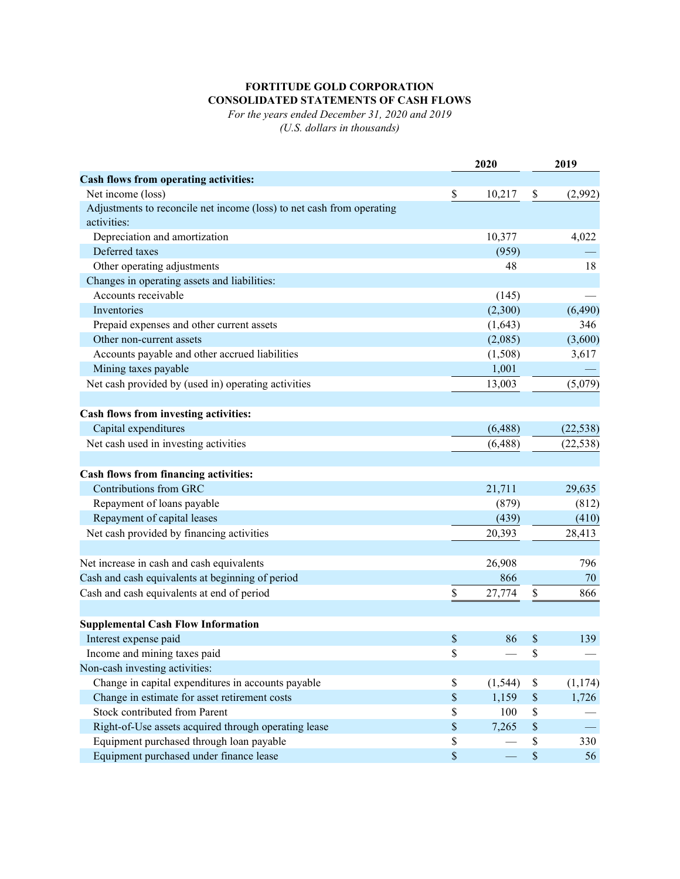# **FORTITUDE GOLD CORPORATION CONSOLIDATED STATEMENTS OF CASH FLOWS**

*For the years ended December 31, 2020 and 2019 (U.S. dollars in thousands)*

|                                                                                      |             | 2020     |      | 2019      |  |
|--------------------------------------------------------------------------------------|-------------|----------|------|-----------|--|
| Cash flows from operating activities:                                                |             |          |      |           |  |
| Net income (loss)                                                                    | \$          | 10,217   | \$   | (2,992)   |  |
| Adjustments to reconcile net income (loss) to net cash from operating<br>activities: |             |          |      |           |  |
| Depreciation and amortization                                                        |             | 10,377   |      | 4,022     |  |
| Deferred taxes                                                                       |             | (959)    |      |           |  |
| Other operating adjustments                                                          |             | 48       |      | 18        |  |
| Changes in operating assets and liabilities:                                         |             |          |      |           |  |
| Accounts receivable                                                                  |             | (145)    |      |           |  |
| Inventories                                                                          |             | (2,300)  |      | (6, 490)  |  |
| Prepaid expenses and other current assets                                            |             | (1,643)  |      | 346       |  |
| Other non-current assets                                                             |             | (2,085)  |      | (3,600)   |  |
| Accounts payable and other accrued liabilities                                       |             | (1,508)  |      | 3,617     |  |
| Mining taxes payable                                                                 |             | 1,001    |      |           |  |
| Net cash provided by (used in) operating activities                                  |             | 13,003   |      | (5,079)   |  |
|                                                                                      |             |          |      |           |  |
| Cash flows from investing activities:                                                |             |          |      |           |  |
| Capital expenditures                                                                 |             | (6, 488) |      | (22, 538) |  |
| Net cash used in investing activities                                                |             | (6, 488) |      | (22, 538) |  |
|                                                                                      |             |          |      |           |  |
| Cash flows from financing activities:                                                |             |          |      |           |  |
| Contributions from GRC                                                               |             | 21,711   |      | 29,635    |  |
| Repayment of loans payable                                                           |             | (879)    |      | (812)     |  |
| Repayment of capital leases                                                          |             | (439)    |      | (410)     |  |
| Net cash provided by financing activities                                            |             | 20,393   |      | 28,413    |  |
|                                                                                      |             |          |      |           |  |
| Net increase in cash and cash equivalents                                            |             | 26,908   |      | 796       |  |
| Cash and cash equivalents at beginning of period                                     |             | 866      |      | 70        |  |
| Cash and cash equivalents at end of period                                           | \$          | 27,774   | \$   | 866       |  |
|                                                                                      |             |          |      |           |  |
| <b>Supplemental Cash Flow Information</b>                                            |             |          |      |           |  |
| Interest expense paid                                                                | \$          | 86       | \$   | 139       |  |
| Income and mining taxes paid                                                         | \$          |          | \$   |           |  |
| Non-cash investing activities:                                                       |             |          |      |           |  |
| Change in capital expenditures in accounts payable                                   | \$          | (1, 544) | \$   | (1, 174)  |  |
| Change in estimate for asset retirement costs                                        | $\$$        | 1,159    | $\$$ | 1,726     |  |
| <b>Stock contributed from Parent</b>                                                 | \$          | 100      | \$   |           |  |
| Right-of-Use assets acquired through operating lease                                 | $\mathbb S$ | 7,265    | $\$$ |           |  |
| Equipment purchased through loan payable                                             | \$          |          | \$   | 330       |  |
| Equipment purchased under finance lease                                              | $\$$        |          | $\$$ | 56        |  |